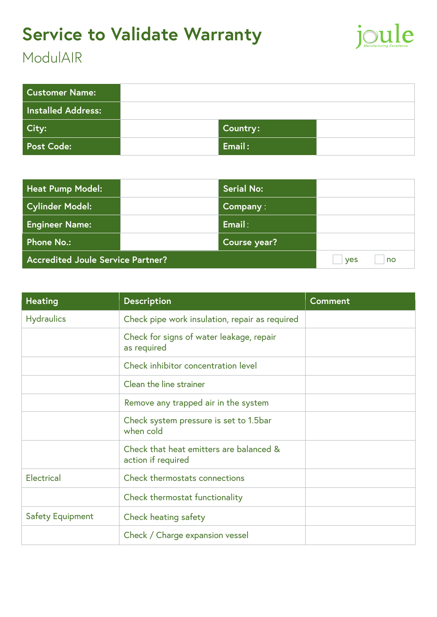### **Service to Validate Warranty**



#### **ModulAIR**

| <b>Customer Name:</b> |                         |  |
|-----------------------|-------------------------|--|
| Installed Address:    |                         |  |
| City:                 | Country:                |  |
| <b>Post Code:</b>     | $\sf k$ Email : $\sf k$ |  |

| <b>Heat Pump Model:</b>                  |  | <b>Serial No:</b> |  |
|------------------------------------------|--|-------------------|--|
| <b>Cylinder Model:</b>                   |  | Company:          |  |
| <b>Engineer Name:</b>                    |  | Email:            |  |
| Phone No.:                               |  | Course year?      |  |
| <b>Accredited Joule Service Partner?</b> |  | no<br><b>ves</b>  |  |

| <b>Heating</b>          | <b>Description</b>                                            | <b>Comment</b> |
|-------------------------|---------------------------------------------------------------|----------------|
| <b>Hydraulics</b>       | Check pipe work insulation, repair as required                |                |
|                         | Check for signs of water leakage, repair<br>as required       |                |
|                         | Check inhibitor concentration level                           |                |
|                         | Clean the line strainer                                       |                |
|                         | Remove any trapped air in the system                          |                |
|                         | Check system pressure is set to 1.5bar<br>when cold           |                |
|                         | Check that heat emitters are balanced &<br>action if required |                |
| <b>Electrical</b>       | Check thermostats connections                                 |                |
|                         | Check thermostat functionality                                |                |
| <b>Safety Equipment</b> | Check heating safety                                          |                |
|                         | Check / Charge expansion vessel                               |                |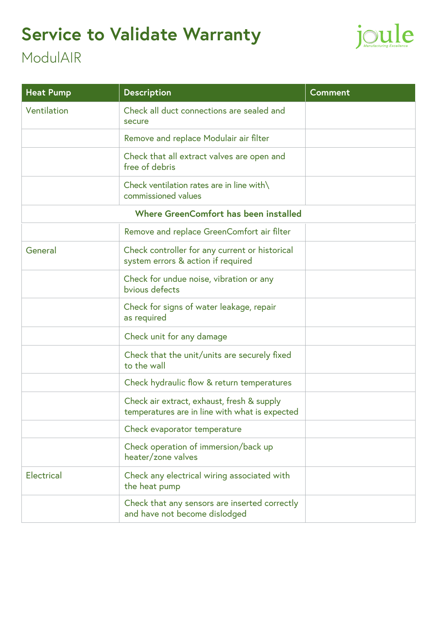## **Service to Validate Warranty**



### **ModulAIR**

| <b>Heat Pump</b>  | <b>Description</b>                                                                           | Comment |
|-------------------|----------------------------------------------------------------------------------------------|---------|
| Ventilation       | Check all duct connections are sealed and<br>secure                                          |         |
|                   | Remove and replace Modulair air filter                                                       |         |
|                   | Check that all extract valves are open and<br>free of debris                                 |         |
|                   | Check ventilation rates are in line with\<br>commissioned values                             |         |
|                   | Where GreenComfort has been installed                                                        |         |
|                   | Remove and replace GreenComfort air filter                                                   |         |
| General           | Check controller for any current or historical<br>system errors & action if required         |         |
|                   | Check for undue noise, vibration or any<br>bvious defects                                    |         |
|                   | Check for signs of water leakage, repair<br>as required                                      |         |
|                   | Check unit for any damage                                                                    |         |
|                   | Check that the unit/units are securely fixed<br>to the wall                                  |         |
|                   | Check hydraulic flow & return temperatures                                                   |         |
|                   | Check air extract, exhaust, fresh & supply<br>temperatures are in line with what is expected |         |
|                   | Check evaporator temperature                                                                 |         |
|                   | Check operation of immersion/back up<br>heater/zone valves                                   |         |
| <b>Electrical</b> | Check any electrical wiring associated with<br>the heat pump                                 |         |
|                   | Check that any sensors are inserted correctly<br>and have not become dislodged               |         |